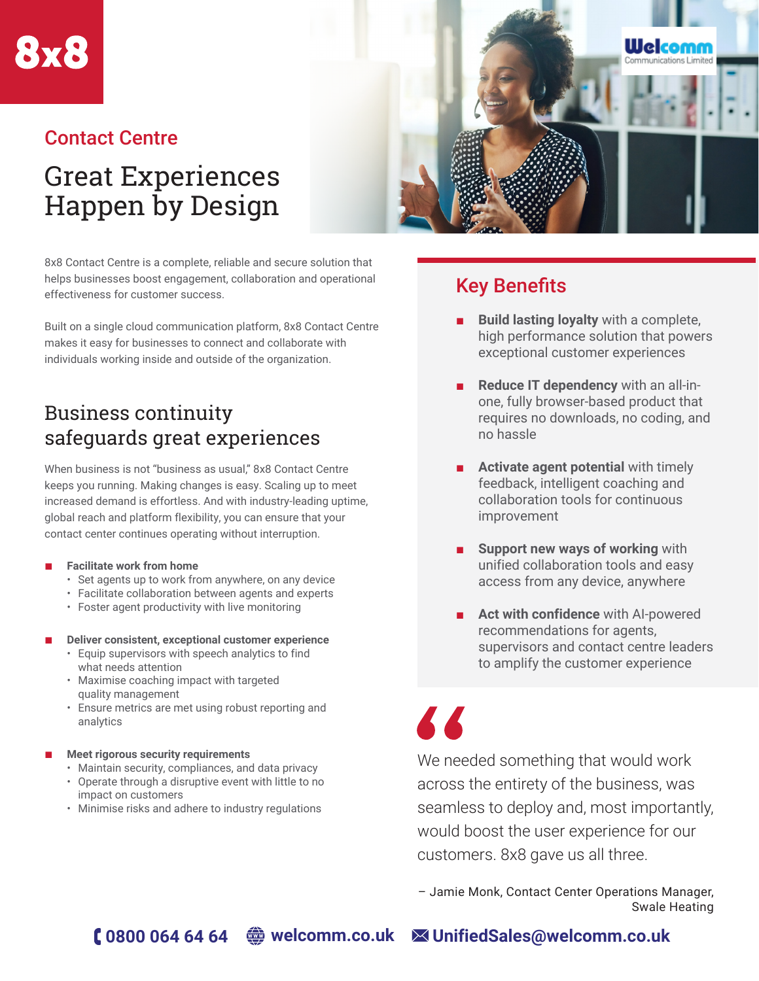

### Contact Centre

# Great Experiences Happen by Design



Built on a single cloud communication platform, 8x8 Contact Centre makes it easy for businesses to connect and collaborate with individuals working inside and outside of the organization.

# Business continuity safeguards great experiences

When business is not "business as usual," 8x8 Contact Centre keeps you running. Making changes is easy. Scaling up to meet increased demand is effortless. And with industry-leading uptime, global reach and platform flexibility, you can ensure that your contact center continues operating without interruption.

#### **Facilitate work from home**

- Set agents up to work from anywhere, on any device
- Facilitate collaboration between agents and experts
- Foster agent productivity with live monitoring

#### **Deliver consistent, exceptional customer experience**

- Equip supervisors with speech analytics to find what needs attention
- Maximise coaching impact with targeted quality management
- Ensure metrics are met using robust reporting and analytics

#### **Meet rigorous security requirements**

- Maintain security, compliances, and data privacy
- Operate through a disruptive event with little to no impact on customers
- Minimise risks and adhere to industry regulations



# Key Benefits

- **Build lasting loyalty** with a complete, high performance solution that powers exceptional customer experiences
- **Reduce IT dependency** with an all-inone, fully browser-based product that requires no downloads, no coding, and no hassle
- **Activate agent potential** with timely feedback, intelligent coaching and collaboration tools for continuous improvement
- **Support new ways of working with** unified collaboration tools and easy access from any device, anywhere
- **Act with confidence** with AI-powered recommendations for agents, supervisors and contact centre leaders to amplify the customer experience

77

We needed something that would work across the entirety of the business, was seamless to deploy and, most importantly, would boost the user experience for our customers. 8x8 gave us all three.

– Jamie Monk, Contact Center Operations Manager, Swale Heating